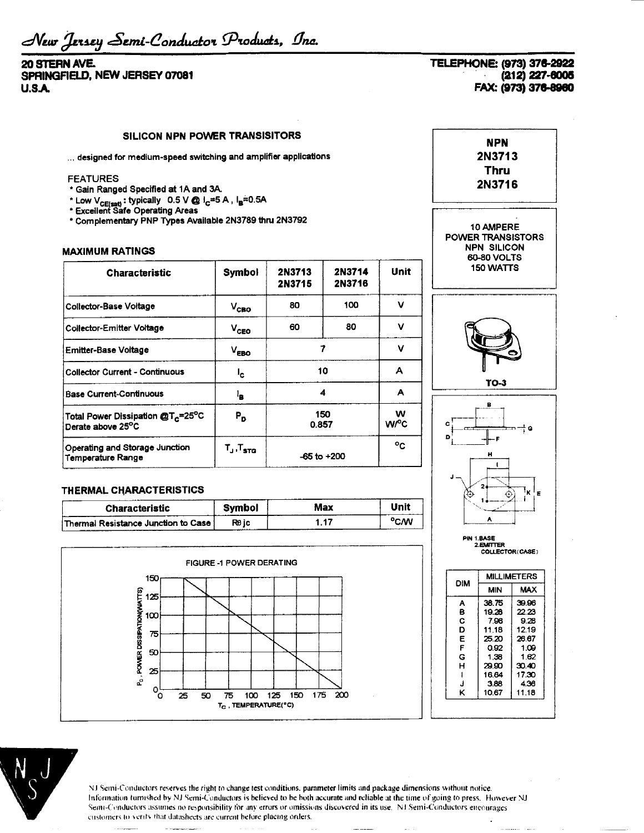**20 STERN AVE. SPRINGFIELD. NEW JERSEY 07081 U.SA**

**TELEPHONE: (973) 378-2922 (212)227-6005 FAX: (973) 376-8960**

> **NPN 2N3713 Thru 2N3716**

10 AMPERE POWER TRANSISTORS NPN SILICON 60-80 VOLTS 150 WATTS

### **SILICON NPN POWER TRANSISITORS**

**... designed for medium-speed switching and amplifier applications**

# **FEATURES**

- **\* Gain Ranged Specified at 1A and 3A.**
- $\tan \frac{1}{2}$  **typically** 0.5 V  $\alpha$   $\neq$  5 A,  $\neq$  = 0.5 A
- **\* Excellent Safe Operating Areas**
- **\* Complementary PNP Types Available 2N3789 thru 2N3792**

#### **MAXIMUM RATINGS**

| <b>Characteristic</b>                                              | Symbol                               | 2N3713<br>2N3715 | 2N3714<br>2N3716 | Unit                      |
|--------------------------------------------------------------------|--------------------------------------|------------------|------------------|---------------------------|
| Collector-Base Voltage                                             | $V_{\mathbf{C}\mathbf{B}\mathbf{O}}$ | 80               | 100              | v                         |
| <b>Collector-Emitter Voltage</b>                                   | $V_{\text{ceo}}$                     | 80<br>60         |                  | ν                         |
| <b>Emitter-Base Voltage</b>                                        | $V_{EBO}$                            | 7                | v                |                           |
| <b>Collector Current - Continuous</b>                              | ŀс                                   | 10               |                  | A                         |
| <b>Base Current-Continuous</b>                                     | ١a                                   | 4                |                  | A                         |
| Total Power Dissipation @T.=25°C<br>Derate above 25 <sup>o</sup> C | $P_{D}$                              | 150<br>0.857     |                  | w<br><b>W<sub>C</sub></b> |
| Operating and Storage Junction<br>Temperature Range                | $T_{\rm J}$ , $T_{\rm stra}$         | $-65$ to $+200$  | $^{\circ}$ C     |                           |





#### **THERMAL CHARACTERISTICS**

| <b>Characteristic</b>               | Symbol | Max | Unit |
|-------------------------------------|--------|-----|------|
| Thermal Resistance Junction to Case | Re ic  |     | °C/W |





NJ Semi-Conductors reserves the right to change test conditions, parameter limits and package dimensions without notice. Information furnished by NJ Semi-Conductors is believed to he both accurate and reliable at the time of going to press. However NJ Semi-Conductors assumes no responsibility for any errors or omissions discovered in its use. NJ Semi-Conductors encourages customers to verify that datasheets are current before placing orders.